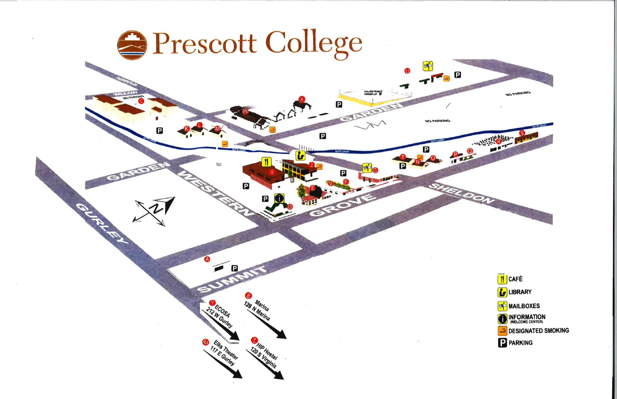